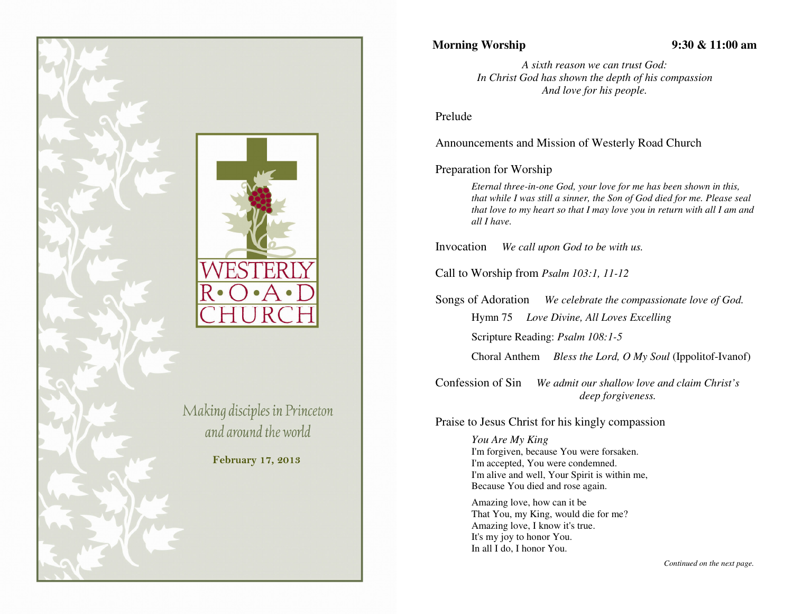

## **Morning Worship 9:30 & 11:00 am**

*A sixth reason we can trust God: In Christ God has shown the depth of his compassionAnd love for his people.* 

Prelude

Announcements and Mission of Westerly Road Church

## Preparation for Worship

*Eternal three-in-one God, your love for me has been shown in this, that while I was still a sinner, the Son of God died for me. Please seal that love to my heart so that I may love you in return with all I am and all I have.* 

Invocation *We call upon God to be with us.* 

Call to Worship from *Psalm 103:1, 11-12*

Songs of Adoration *We celebrate the compassionate love of God.*Hymn 75 *Love Divine, All Loves Excelling* Scripture Reading: *Psalm 108:1-5*

Choral Anthem *Bless the Lord, O My Soul* (Ippolitof-Ivanof)

Confession of Sin *We admit our shallow love and claim Christ's deep forgiveness.*

Praise to Jesus Christ for his kingly compassion

*You Are My King*  I'm forgiven, because You were forsaken. I'm accepted, You were condemned. I'm alive and well, Your Spirit is within me, Because You died and rose again.

Amazing love, how can it be That You, my King, would die for me? Amazing love, I know it's true. It's my joy to honor You. In all I do, I honor You.

*Continued on the next page.*